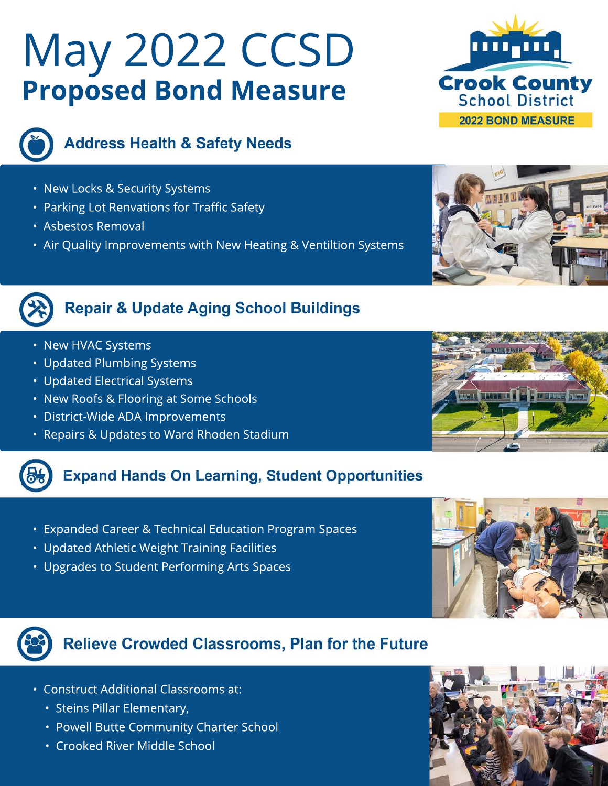# May 2022 CCSD **Proposed Bond Measure**





## **Address Health & Safety Needs**

- New Locks & Security Systems
- Parking Lot Renvations for Traffic Safety
- Asbestos Removal
- Air Quality Improvements with New Heating & Ventiltion Systems



## **Repair & Update Aging School Buildings**

- New HVAC Systems
- Updated Plumbing Systems
- Updated Electrical Systems
- New Roofs & Flooring at Some Schools
- District-Wide ADA Improvements
- Repairs & Updates to Ward Rhoden Stadium

## **Expand Hands On Learning, Student Opportunities**

- Expanded Career & Technical Education Program Spaces
- Updated Athletic Weight Training Facilities
- Upgrades to Student Performing Arts Spaces





# **Relieve Crowded Classrooms, Plan for the Future**

- Construct Additional Classrooms at:
	- Steins Pillar Elementary,
	- Powell Butte Community Charter School
	- Crooked River Middle School